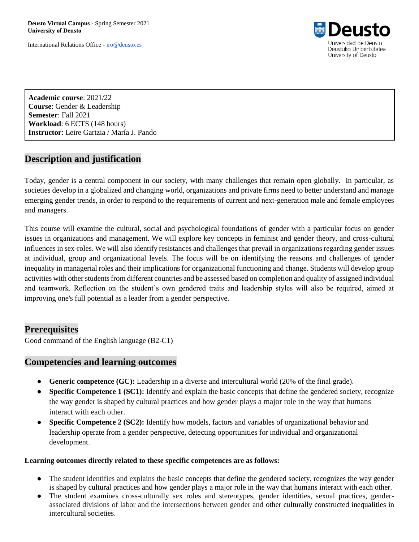**Deusto Virtual Campus** - Spring Semester 2021 **University of Deusto** 

International Relations Office - [iro@deusto.es](mailto:iro@deusto.es)



**Academic course**: 2021/22 **Course**: Gender & Leadership **Semester**: Fall 2021 **Workload**: 6 ECTS (148 hours) **Instructor**: Leire Gartzia / María J. Pando

# **Description and justification**

Today, gender is a central component in our society, with many challenges that remain open globally. In particular, as societies develop in a globalized and changing world, organizations and private firms need to better understand and manage emerging gender trends, in order to respond to the requirements of current and next-generation male and female employees and managers.

This course will examine the cultural, social and psychological foundations of gender with a particular focus on gender issues in organizations and management. We will explore key concepts in feminist and gender theory, and cross-cultural influences in sex-roles. We will also identify resistances and challenges that prevail in organizations regarding gender issues at individual, group and organizational levels. The focus will be on identifying the reasons and challenges of gender inequality in managerial roles and their implications for organizational functioning and change. Students will develop group activities with other students from different countries and be assessed based on completion and quality of assigned individual and teamwork. Reflection on the student's own gendered traits and leadership styles will also be required, aimed at improving one's full potential as a leader from a gender perspective.

### **Prerequisites**

Good command of the English language (B2-C1)

### **Competencies and learning outcomes**

- **Generic competence (GC):** Leadership in a diverse and intercultural world (20% of the final grade).
- **Specific Competence 1 (SC1):** Identify and explain the basic concepts that define the gendered society, recognize the way gender is shaped by cultural practices and how gender plays a major role in the way that humans interact with each other.
- **Specific Competence 2 (SC2):** Identify how models, factors and variables of organizational behavior and leadership operate from a gender perspective, detecting opportunities for individual and organizational development.

#### **Learning outcomes directly related to these specific competences are as follows:**

- The student identifies and explains the basic concepts that define the gendered society, recognizes the way gender is shaped by cultural practices and how gender plays a major role in the way that humans interact with each other.
- The student examines cross-culturally sex roles and stereotypes, gender identities, sexual practices, genderassociated divisions of labor and the intersections between gender and other culturally constructed inequalities in intercultural societies.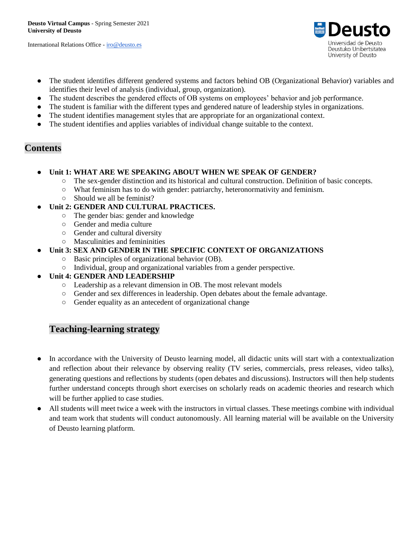International Relations Office - [iro@deusto.es](mailto:iro@deusto.es)



- The student identifies different gendered systems and factors behind OB (Organizational Behavior) variables and identifies their level of analysis (individual, group, organization).
- The student describes the gendered effects of OB systems on employees' behavior and job performance.
- The student is familiar with the different types and gendered nature of leadership styles in organizations.
- The student identifies management styles that are appropriate for an organizational context.
- The student identifies and applies variables of individual change suitable to the context.

# **Contents**

- Unit 1: WHAT ARE WE SPEAKING ABOUT WHEN WE SPEAK OF GENDER?
	- The sex-gender distinction and its historical and cultural construction. Definition of basic concepts.
	- What feminism has to do with gender: patriarchy, heteronormativity and feminism.
	- Should we all be feminist?
- **Unit 2: GENDER AND CULTURAL PRACTICES.** 
	- The gender bias: gender and knowledge
	- Gender and media culture
	- Gender and cultural diversity
	- Masculinities and femininities
	- **Unit 3: SEX AND GENDER IN THE SPECIFIC CONTEXT OF ORGANIZATIONS** 
		- Basic principles of organizational behavior (OB).
		- Individual, group and organizational variables from a gender perspective.
- **Unit 4: GENDER AND LEADERSHIP** 
	- Leadership as a relevant dimension in OB. The most relevant models
	- Gender and sex differences in leadership. Open debates about the female advantage.
	- Gender equality as an antecedent of organizational change

# **Teaching-learning strategy**

- In accordance with the University of Deusto learning model, all didactic units will start with a contextualization and reflection about their relevance by observing reality (TV series, commercials, press releases, video talks), generating questions and reflections by students (open debates and discussions). Instructors will then help students further understand concepts through short exercises on scholarly reads on academic theories and research which will be further applied to case studies.
- All students will meet twice a week with the instructors in virtual classes. These meetings combine with individual and team work that students will conduct autonomously. All learning material will be available on the University of Deusto learning platform.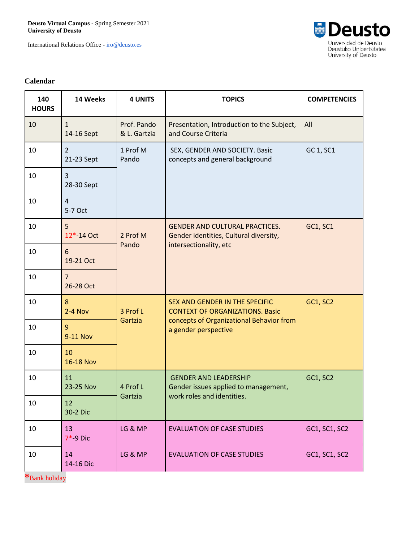**Deusto Virtual Campus** - Spring Semester 2021 **University of Deusto** 

International Relations Office - [iro@deusto.es](mailto:iro@deusto.es)



#### **Calendar**

| 140<br><b>HOURS</b> | 14 Weeks                     | <b>4 UNITS</b>              | <b>TOPICS</b>                                                                                                                                | <b>COMPETENCIES</b> |
|---------------------|------------------------------|-----------------------------|----------------------------------------------------------------------------------------------------------------------------------------------|---------------------|
| 10                  | $\mathbf{1}$<br>14-16 Sept   | Prof. Pando<br>& L. Gartzia | Presentation, Introduction to the Subject,<br>and Course Criteria                                                                            | All                 |
| $10\,$              | $\overline{2}$<br>21-23 Sept | 1 Prof M<br>Pando           | SEX, GENDER AND SOCIETY. Basic<br>concepts and general background                                                                            | GC 1, SC1           |
| 10                  | 3<br>28-30 Sept              |                             |                                                                                                                                              |                     |
| 10                  | $\overline{4}$<br>5-7 Oct    |                             |                                                                                                                                              |                     |
| 10                  | 5<br>12*-14 Oct              | 2 Prof M<br>Pando           | <b>GENDER AND CULTURAL PRACTICES.</b><br>Gender identities, Cultural diversity,<br>intersectionality, etc                                    | <b>GC1, SC1</b>     |
| 10                  | 6<br>19-21 Oct               |                             |                                                                                                                                              |                     |
| 10                  | $\overline{7}$<br>26-28 Oct  |                             |                                                                                                                                              |                     |
| 10                  | 8<br>$2-4$ Nov               | 3 Prof L<br>Gartzia         | SEX AND GENDER IN THE SPECIFIC<br><b>CONTEXT OF ORGANIZATIONS. Basic</b><br>concepts of Organizational Behavior from<br>a gender perspective | <b>GC1, SC2</b>     |
| 10                  | 9<br>9-11 Nov                |                             |                                                                                                                                              |                     |
| 10                  | 10<br><b>16-18 Nov</b>       |                             |                                                                                                                                              |                     |
| 10                  | 11<br>23-25 Nov              | 4 Prof L<br>Gartzia         | <b>GENDER AND LEADERSHIP</b><br>Gender issues applied to management,<br>work roles and identities.                                           | GC1, SC2            |
| 10                  | 12<br>30-2 Dic               |                             |                                                                                                                                              |                     |
| 10                  | 13<br>$7*-9$ Dic             | LG & MP                     | <b>EVALUATION OF CASE STUDIES</b>                                                                                                            | GC1, SC1, SC2       |
| 10                  | 14<br>14-16 Dic              | LG & MP                     | <b>EVALUATION OF CASE STUDIES</b>                                                                                                            | GC1, SC1, SC2       |

**\***Bank holiday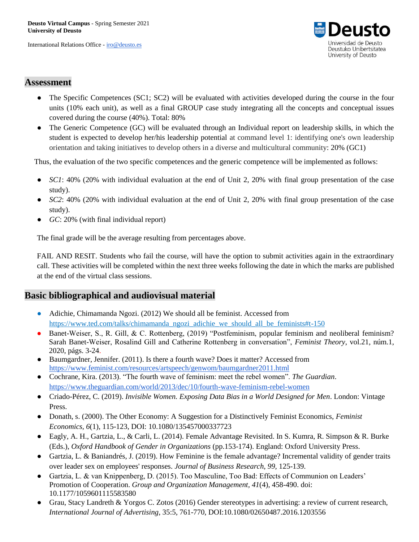International Relations Office - [iro@deusto.es](mailto:iro@deusto.es)



## **Assessment**

- The Specific Competences (SC1; SC2) will be evaluated with activities developed during the course in the four units (10% each unit), as well as a final GROUP case study integrating all the concepts and conceptual issues covered during the course (40%). Total: 80%
- The Generic Competence (GC) will be evaluated through an Individual report on leadership skills, in which the student is expected to develop her/his leadership potential at command level 1: identifying one's own leadership orientation and taking initiatives to develop others in a diverse and multicultural community: 20% (GC1)

Thus, the evaluation of the two specific competences and the generic competence will be implemented as follows:

- *SC1*: 40% (20% with individual evaluation at the end of Unit 2, 20% with final group presentation of the case study).
- *SC2*: 40% (20% with individual evaluation at the end of Unit 2, 20% with final group presentation of the case study).
- *GC*: 20% (with final individual report)

The final grade will be the average resulting from percentages above.

FAIL AND RESIT. Students who fail the course, will have the option to submit activities again in the extraordinary call. These activities will be completed within the next three weeks following the date in which the marks are published at the end of the virtual class sessions.

# **Basic bibliographical and audiovisual material**

- Adichie, Chimamanda Ngozi. (2012) We should all be feminist. Accessed from [https://www.ted.com/talks/chimamanda\\_ngozi\\_adichie\\_we\\_should\\_all\\_be\\_feminists#t-150](https://www.ted.com/talks/chimamanda_ngozi_adichie_we_should_all_be_feminists#t-150)
- Banet-Weiser, S., R. Gill, & C. Rottenberg, (2019) "Postfeminism, popular feminism and neoliberal feminism? Sarah Banet-Weiser, Rosalind Gill and Catherine Rottenberg in conversation", *Feminist Theory*, vol.21, núm.1, 2020, págs. 3-24.
- Bau[m](https://www.feminist.com/resources/artspeech/genwom/baumgardner2011.html)gardner, Jennifer. (2011). Is there a fourth wave? Does it matter? Accessed from <https://www.feminist.com/resources/artspeech/genwom/baumgardner2011.html>
- Cochrane, Kira. (2013). "The fourth wave of feminism: meet the rebel women". *The Guardian*. <https://www.theguardian.com/world/2013/dec/10/fourth-wave-feminism-rebel-women>
- Criado-Pérez, C. (2019). *Invisible Women. Exposing Data Bias in a World Designed for Men*. London: Vintage Press.
- Donath, s. (2000). The Other Economy: A Suggestion for a Distinctively Feminist Economics, *Feminist Economics, 6*(1), 115-123, DOI: 10.1080/135457000337723
- Eagly, A. H., Gartzia, L., & Carli, L. (2014). Female Advantage Revisited. In S. Kumra, R. Simpson & R. Burke (Eds.), *Oxford Handbook of Gender in Organizations* (pp.153-174). England: Oxford University Press.
- Gartzia, L. & Baniandrés, J. (2019). How Feminine is the female advantage? Incremental validity of gender traits over leader sex on employees' responses. *Journal of Business Research, 99,* 125-139.
- Gartzia, L. & van Knippenberg, D. (2015). Too Masculine, Too Bad: Effects of Communion on Leaders' Promotion of Cooperation. *Group and Organization Management, 41*(4), 458-490. doi: 10.1177/1059601115583580
- Grau, Stacy Landreth & Yorgos C. Zotos (2016) Gender stereotypes in advertising: a review of current research, *International Journal of Advertising*, 35:5, 761-770, DOI:10.1080/02650487.2016.1203556